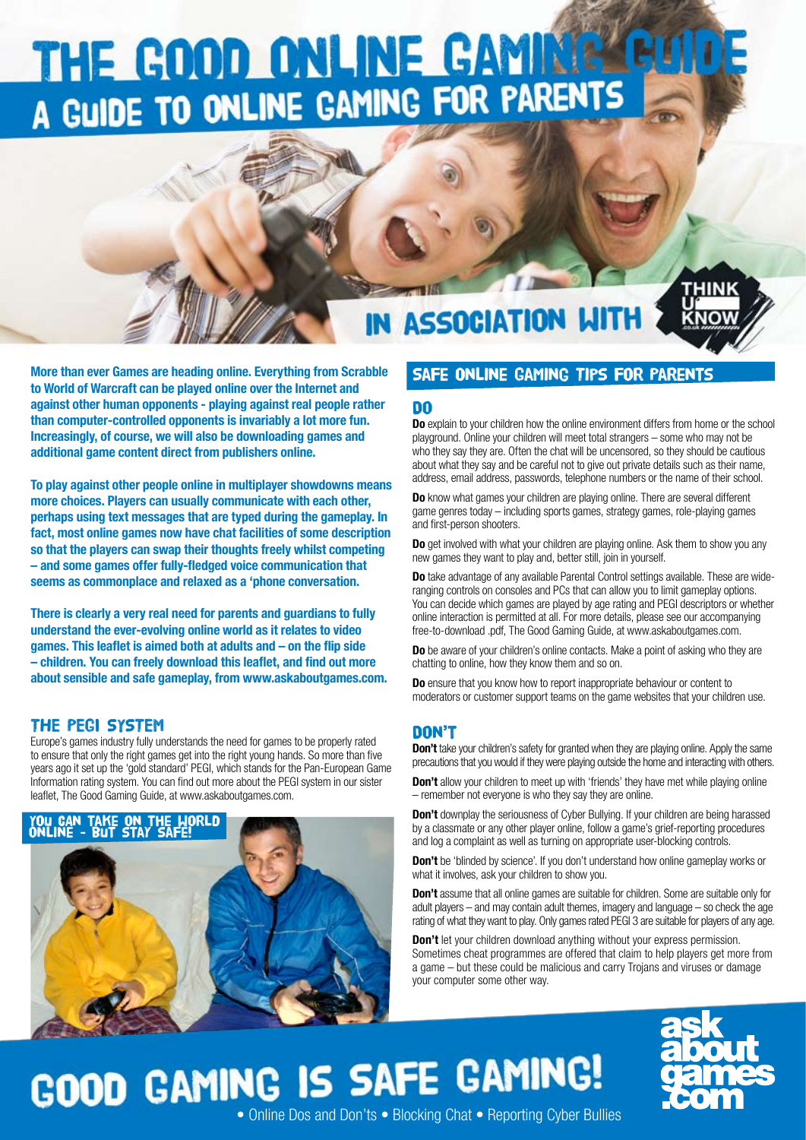# THE GOOD ONLINE GAMINER A GUIDE TO ONLINE GAMING FOR PARENTS

### IN ASSOCIATION WITH

HINK

More than ever Games are heading online. Everything from Scrabble to World of Warcraft can be played online over the Internet and against other human opponents - playing against real people rather than computer-controlled opponents is invariably a lot more fun. Increasingly, of course, we will also be downloading games and additional game content direct from publishers online.

To play against other people online in multiplayer showdowns means more choices. Players can usually communicate with each other, perhaps using text messages that are typed during the gameplay. In fact, most online games now have chat facilities of some description so that the players can swap their thoughts freely whilst competing – and some games offer fully-fledged voice communication that seems as commonplace and relaxed as a 'phone conversation.

There is clearly a very real need for parents and guardians to fully understand the ever-evolving online world as it relates to video games. This leaflet is aimed both at adults and – on the flip side – children. You can freely download this leaflet, and find out more about sensible and safe gameplay, from www.askaboutgames.com.

### THE PEGI SYSTEM

Europe's games industry fully understands the need for games to be properly rated to ensure that only the right games get into the right young hands. So more than five years ago it set up the 'gold standard' PEGI, which stands for the Pan-European Game Information rating system. You can find out more about the PEGI system in our sister leaflet, The Good Gaming Guide, at www.askaboutgames.com.



### Safe Online Gaming Tips for Parents

### Do

Do explain to your children how the online environment differs from home or the school playground. Online your children will meet total strangers – some who may not be who they say they are. Often the chat will be uncensored, so they should be cautious about what they say and be careful not to give out private details such as their name, address, email address, passwords, telephone numbers or the name of their school.

**Do** know what games your children are playing online. There are several different game genres today – including sports games, strategy games, role-playing games and first-person shooters.

Do get involved with what your children are playing online. Ask them to show you any new games they want to play and, better still, join in yourself.

**Do** take advantage of any available Parental Control settings available. These are wideranging controls on consoles and PCs that can allow you to limit gameplay options. You can decide which games are played by age rating and PEGI descriptors or whether online interaction is permitted at all. For more details, please see our accompanying free-to-download .pdf, The Good Gaming Guide, at www.askaboutgames.com.

Do be aware of your children's online contacts. Make a point of asking who they are chatting to online, how they know them and so on.

Do ensure that you know how to report inappropriate behaviour or content to moderators or customer support teams on the game websites that your children use.

#### Don't

**Don't** take your children's safety for granted when they are playing online. Apply the same precautions that you would if they were playing outside the home and interacting with others.

**Don't** allow your children to meet up with 'friends' they have met while playing online – remember not everyone is who they say they are online.

**Don't** downplay the seriousness of Cyber Bullying. If your children are being harassed by a classmate or any other player online, follow a game's grief-reporting procedures and log a complaint as well as turning on appropriate user-blocking controls.

Don't be 'blinded by science'. If you don't understand how online gameplay works or what it involves, ask your children to show you.

**Don't** assume that all online games are suitable for children. Some are suitable only for adult players – and may contain adult themes, imagery and language – so check the age rating of what they want to play. Only games rated PEGI 3 are suitable for players of any age.

**Don't** let your children download anything without your express permission. Sometimes cheat programmes are offered that claim to help players get more from a game – but these could be malicious and carry Trojans and viruses or damage your computer some other way.

# GOOD GAMING IS SAFE GAMING!



• Online Dos and Don'ts • Blocking Chat • Reporting Cyber Bullies